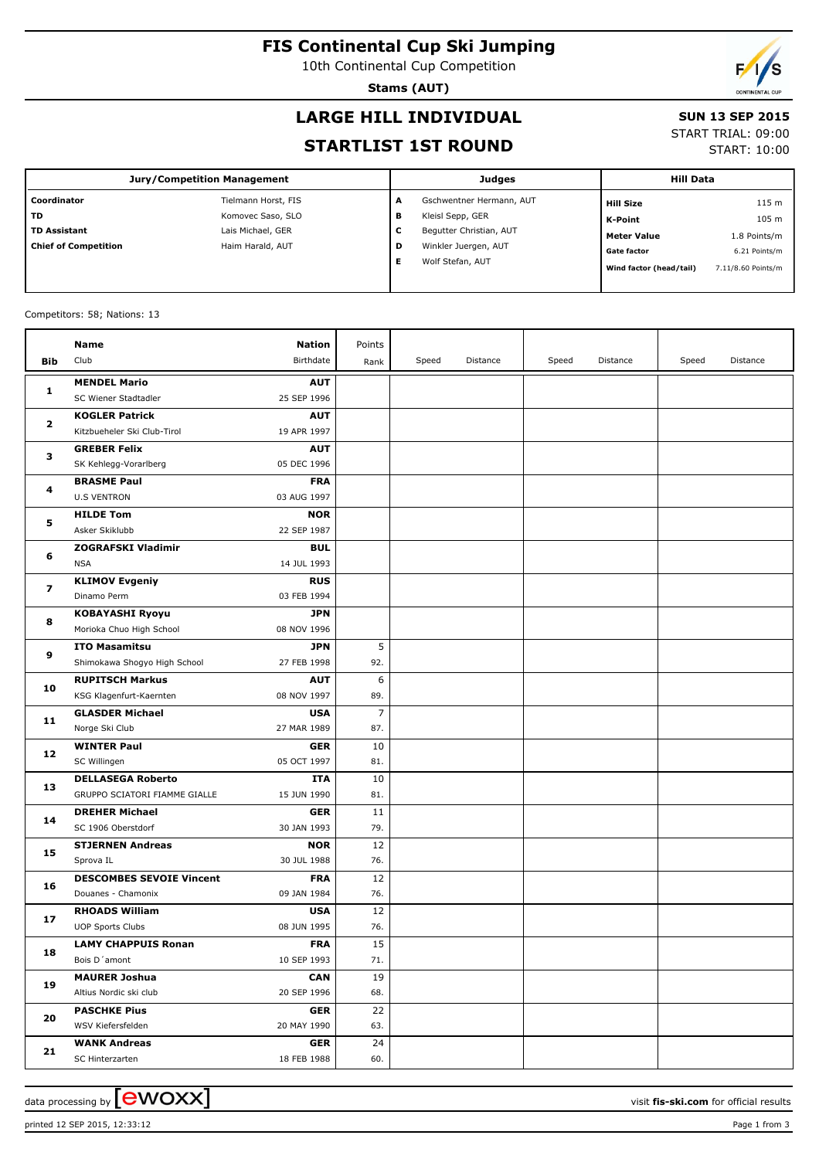# **FIS Continental Cup Ski Jumping**

10th Continental Cup Competition

**Stams (AUT)**

# **LARGE HILL INDIVIDUAL**

#### **SUN 13 SEP 2015**

#### **STARTLIST 1ST ROUND**

|  | ------------       |  |
|--|--------------------|--|
|  | START TRIAL: 09:00 |  |

START: 10:00

| <b>Jury/Competition Management</b> |                     |   | Judges                   | <b>Hill Data</b>        |                    |
|------------------------------------|---------------------|---|--------------------------|-------------------------|--------------------|
| Coordinator                        | Tielmann Horst, FIS | A | Gschwentner Hermann, AUT | <b>Hill Size</b>        | 115 <sub>m</sub>   |
| <b>TD</b>                          | Komovec Saso, SLO   | в | Kleisl Sepp, GER         | K-Point                 | 105 m              |
| <b>TD Assistant</b>                | Lais Michael, GER   | ╰ | Begutter Christian, AUT  | <b>Meter Value</b>      | 1.8 Points/m       |
| <b>Chief of Competition</b>        | Haim Harald, AUT    | D | Winkler Juergen, AUT     | <b>Gate factor</b>      | 6.21 Points/m      |
|                                    |                     |   | Wolf Stefan, AUT         | Wind factor (head/tail) | 7.11/8.60 Points/m |

#### Competitors: 58; Nations: 13

|                         | Name                                 | Nation                    | Points         |       |          |       |          |       |          |
|-------------------------|--------------------------------------|---------------------------|----------------|-------|----------|-------|----------|-------|----------|
| Bib                     | Club                                 | Birthdate                 | Rank           | Speed | Distance | Speed | Distance | Speed | Distance |
|                         | <b>MENDEL Mario</b>                  | <b>AUT</b>                |                |       |          |       |          |       |          |
| 1                       | SC Wiener Stadtadler                 | 25 SEP 1996               |                |       |          |       |          |       |          |
|                         | <b>KOGLER Patrick</b>                | <b>AUT</b>                |                |       |          |       |          |       |          |
| 2                       | Kitzbueheler Ski Club-Tirol          | 19 APR 1997               |                |       |          |       |          |       |          |
| з                       | <b>GREBER Felix</b>                  | <b>AUT</b>                |                |       |          |       |          |       |          |
|                         | SK Kehlegg-Vorarlberg                | 05 DEC 1996               |                |       |          |       |          |       |          |
| 4                       | <b>BRASME Paul</b>                   | <b>FRA</b>                |                |       |          |       |          |       |          |
|                         | <b>U.S VENTRON</b>                   | 03 AUG 1997               |                |       |          |       |          |       |          |
|                         | <b>HILDE Tom</b>                     | <b>NOR</b>                |                |       |          |       |          |       |          |
| 5                       | Asker Skiklubb                       | 22 SEP 1987               |                |       |          |       |          |       |          |
|                         | <b>ZOGRAFSKI Vladimir</b>            | <b>BUL</b>                |                |       |          |       |          |       |          |
| 6                       | <b>NSA</b>                           | 14 JUL 1993               |                |       |          |       |          |       |          |
| $\overline{\mathbf{z}}$ | <b>KLIMOV Evgeniy</b>                | <b>RUS</b>                |                |       |          |       |          |       |          |
|                         | Dinamo Perm                          | 03 FEB 1994               |                |       |          |       |          |       |          |
| 8                       | <b>KOBAYASHI Ryoyu</b>               | <b>JPN</b>                |                |       |          |       |          |       |          |
|                         | Morioka Chuo High School             | 08 NOV 1996               |                |       |          |       |          |       |          |
| 9                       | <b>ITO Masamitsu</b>                 | <b>JPN</b>                | 5              |       |          |       |          |       |          |
|                         | Shimokawa Shogyo High School         | 27 FEB 1998               | 92.            |       |          |       |          |       |          |
| 10                      | <b>RUPITSCH Markus</b>               | <b>AUT</b>                | 6              |       |          |       |          |       |          |
|                         | KSG Klagenfurt-Kaernten              | 08 NOV 1997               | 89.            |       |          |       |          |       |          |
| 11                      | <b>GLASDER Michael</b>               | <b>USA</b>                | $\overline{7}$ |       |          |       |          |       |          |
|                         | Norge Ski Club                       | 27 MAR 1989               | 87.            |       |          |       |          |       |          |
| 12                      | <b>WINTER Paul</b>                   | <b>GER</b>                | 10             |       |          |       |          |       |          |
|                         | SC Willingen                         | 05 OCT 1997               | 81.            |       |          |       |          |       |          |
| 13                      | <b>DELLASEGA Roberto</b>             | ITA                       | 10             |       |          |       |          |       |          |
|                         | GRUPPO SCIATORI FIAMME GIALLE        | 15 JUN 1990               | 81.            |       |          |       |          |       |          |
| 14                      | <b>DREHER Michael</b>                | <b>GER</b>                | 11             |       |          |       |          |       |          |
|                         | SC 1906 Oberstdorf                   | 30 JAN 1993               | 79.            |       |          |       |          |       |          |
| 15                      | <b>STJERNEN Andreas</b><br>Sprova IL | <b>NOR</b><br>30 JUL 1988 | 12<br>76.      |       |          |       |          |       |          |
|                         | <b>DESCOMBES SEVOIE Vincent</b>      | <b>FRA</b>                | 12             |       |          |       |          |       |          |
| 16                      | Douanes - Chamonix                   | 09 JAN 1984               | 76.            |       |          |       |          |       |          |
|                         | <b>RHOADS William</b>                | <b>USA</b>                | 12             |       |          |       |          |       |          |
| 17                      | <b>UOP Sports Clubs</b>              | 08 JUN 1995               | 76.            |       |          |       |          |       |          |
|                         | <b>LAMY CHAPPUIS Ronan</b>           | <b>FRA</b>                | 15             |       |          |       |          |       |          |
| 18                      | Bois D'amont                         | 10 SEP 1993               | 71.            |       |          |       |          |       |          |
| 19                      | <b>MAURER Joshua</b>                 | <b>CAN</b>                | 19             |       |          |       |          |       |          |
|                         | Altius Nordic ski club               | 20 SEP 1996               | 68.            |       |          |       |          |       |          |
|                         | <b>PASCHKE Pius</b>                  | <b>GER</b>                | 22             |       |          |       |          |       |          |
| 20                      | WSV Kiefersfelden                    | 20 MAY 1990               | 63.            |       |          |       |          |       |          |
|                         | <b>WANK Andreas</b>                  | <b>GER</b>                | 24             |       |          |       |          |       |          |
| 21                      | SC Hinterzarten                      | 18 FEB 1988               | 60.            |       |          |       |          |       |          |

printed 12 SEP 2015, 12:33:12 Page 1 from 3

data processing by **CWOXX** and  $\overline{C}$  and  $\overline{C}$  and  $\overline{C}$  and  $\overline{C}$  and  $\overline{C}$  and  $\overline{C}$  and  $\overline{C}$  and  $\overline{C}$  and  $\overline{C}$  and  $\overline{C}$  and  $\overline{C}$  and  $\overline{C}$  and  $\overline{C}$  and  $\overline{C}$  and  $\overline{C}$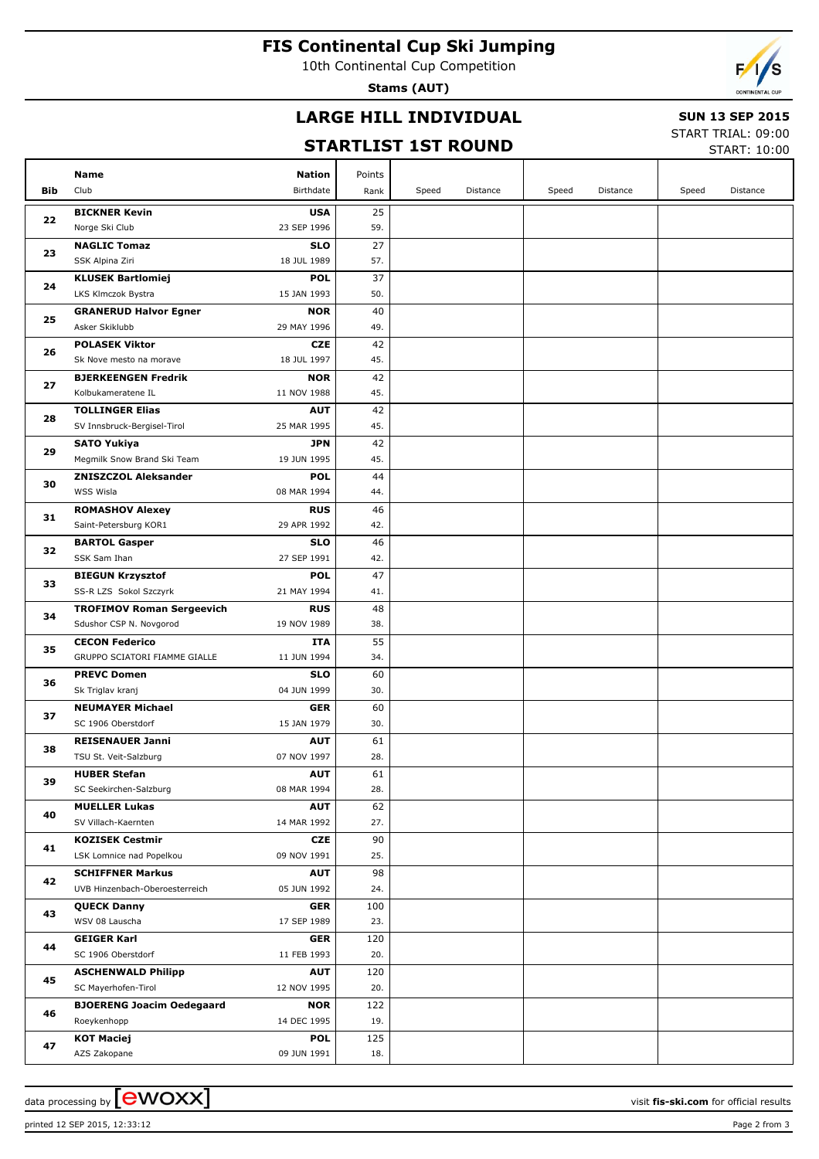### **FIS Continental Cup Ski Jumping**

10th Continental Cup Competition

**Stams (AUT)**

# **LARGE HILL INDIVIDUAL**

## **SUN 13 SEP 2015**

## **STARTLIST 1ST ROUND**

START TRIAL: 09:00

|     |                                                  |                           |            |       | SIAKILISI ISI KUUND |       |          |       | START: 10:00 |
|-----|--------------------------------------------------|---------------------------|------------|-------|---------------------|-------|----------|-------|--------------|
|     | Name                                             | Nation                    | Points     |       |                     |       |          |       |              |
| Bib | Club                                             | <b>Birthdate</b>          | Rank       | Speed | Distance            | Speed | Distance | Speed | Distance     |
|     | <b>BICKNER Kevin</b>                             | <b>USA</b>                | 25         |       |                     |       |          |       |              |
| 22  | Norge Ski Club                                   | 23 SEP 1996               | 59.        |       |                     |       |          |       |              |
|     | <b>NAGLIC Tomaz</b>                              | <b>SLO</b>                | 27         |       |                     |       |          |       |              |
| 23  | SSK Alpina Ziri                                  | 18 JUL 1989               | 57.        |       |                     |       |          |       |              |
|     | <b>KLUSEK Bartlomiej</b>                         | <b>POL</b>                | 37         |       |                     |       |          |       |              |
| 24  | LKS Klmczok Bystra                               | 15 JAN 1993               | 50.        |       |                     |       |          |       |              |
|     | <b>GRANERUD Halvor Egner</b>                     | <b>NOR</b>                | 40         |       |                     |       |          |       |              |
| 25  | Asker Skiklubb                                   | 29 MAY 1996               | 49.        |       |                     |       |          |       |              |
| 26  | <b>POLASEK Viktor</b>                            | <b>CZE</b>                | 42         |       |                     |       |          |       |              |
|     | Sk Nove mesto na morave                          | 18 JUL 1997               | 45.        |       |                     |       |          |       |              |
| 27  | <b>BJERKEENGEN Fredrik</b>                       | <b>NOR</b>                | 42         |       |                     |       |          |       |              |
|     | Kolbukameratene IL                               | 11 NOV 1988               | 45.        |       |                     |       |          |       |              |
| 28  | <b>TOLLINGER Elias</b>                           | <b>AUT</b>                | 42         |       |                     |       |          |       |              |
|     | SV Innsbruck-Bergisel-Tirol                      | 25 MAR 1995               | 45.        |       |                     |       |          |       |              |
| 29  | <b>SATO Yukiya</b>                               | <b>JPN</b>                | 42         |       |                     |       |          |       |              |
|     | Megmilk Snow Brand Ski Team                      | 19 JUN 1995               | 45.        |       |                     |       |          |       |              |
| 30  | <b>ZNISZCZOL Aleksander</b><br>WSS Wisla         | <b>POL</b><br>08 MAR 1994 | 44<br>44.  |       |                     |       |          |       |              |
|     | <b>ROMASHOV Alexey</b>                           | <b>RUS</b>                | 46         |       |                     |       |          |       |              |
| 31  | Saint-Petersburg KOR1                            | 29 APR 1992               | 42.        |       |                     |       |          |       |              |
|     | <b>BARTOL Gasper</b>                             | <b>SLO</b>                | 46         |       |                     |       |          |       |              |
| 32  | SSK Sam Ihan                                     | 27 SEP 1991               | 42.        |       |                     |       |          |       |              |
|     | <b>BIEGUN Krzysztof</b>                          | <b>POL</b>                | 47         |       |                     |       |          |       |              |
| 33  | SS-R LZS Sokol Szczyrk                           | 21 MAY 1994               | 41.        |       |                     |       |          |       |              |
| 34  | <b>TROFIMOV Roman Sergeevich</b>                 | <b>RUS</b>                | 48         |       |                     |       |          |       |              |
|     | Sdushor CSP N. Novgorod                          | 19 NOV 1989               | 38.        |       |                     |       |          |       |              |
| 35  | <b>CECON Federico</b>                            | ITA                       | 55         |       |                     |       |          |       |              |
|     | GRUPPO SCIATORI FIAMME GIALLE                    | 11 JUN 1994               | 34.        |       |                     |       |          |       |              |
| 36  | <b>PREVC Domen</b>                               | <b>SLO</b>                | 60         |       |                     |       |          |       |              |
|     | Sk Triglav kranj                                 | 04 JUN 1999               | 30.        |       |                     |       |          |       |              |
| 37  | <b>NEUMAYER Michael</b><br>SC 1906 Oberstdorf    | <b>GER</b><br>15 JAN 1979 | 60<br>30.  |       |                     |       |          |       |              |
|     | <b>REISENAUER Janni</b>                          | AUT                       | 61         |       |                     |       |          |       |              |
| 38  | TSU St. Veit-Salzburg                            | 07 NOV 1997               | 28.        |       |                     |       |          |       |              |
|     | <b>HUBER Stefan</b>                              | <b>AUT</b>                | 61         |       |                     |       |          |       |              |
| 39  | SC Seekirchen-Salzburg                           | 08 MAR 1994               | 28.        |       |                     |       |          |       |              |
|     | <b>MUELLER Lukas</b>                             | <b>AUT</b>                | 62         |       |                     |       |          |       |              |
| 40  | SV Villach-Kaernten                              | 14 MAR 1992               | 27.        |       |                     |       |          |       |              |
| 41  | <b>KOZISEK Cestmir</b>                           | CZE                       | 90         |       |                     |       |          |       |              |
|     | LSK Lomnice nad Popelkou                         | 09 NOV 1991               | 25.        |       |                     |       |          |       |              |
| 42  | <b>SCHIFFNER Markus</b>                          | <b>AUT</b>                | 98         |       |                     |       |          |       |              |
|     | UVB Hinzenbach-Oberoesterreich                   | 05 JUN 1992               | 24.        |       |                     |       |          |       |              |
| 43  | <b>QUECK Danny</b>                               | GER                       | 100        |       |                     |       |          |       |              |
|     | WSV 08 Lauscha                                   | 17 SEP 1989               | 23.        |       |                     |       |          |       |              |
| 44  | <b>GEIGER Karl</b>                               | GER                       | 120        |       |                     |       |          |       |              |
|     | SC 1906 Oberstdorf                               | 11 FEB 1993               | 20.        |       |                     |       |          |       |              |
| 45  | <b>ASCHENWALD Philipp</b><br>SC Mayerhofen-Tirol | <b>AUT</b><br>12 NOV 1995 | 120<br>20. |       |                     |       |          |       |              |
|     | <b>BJOERENG Joacim Oedegaard</b>                 | <b>NOR</b>                | 122        |       |                     |       |          |       |              |
| 46  | Roeykenhopp                                      | 14 DEC 1995               | 19.        |       |                     |       |          |       |              |
|     | <b>KOT Maciej</b>                                | <b>POL</b>                | 125        |       |                     |       |          |       |              |
| 47  | AZS Zakopane                                     | 09 JUN 1991               | 18.        |       |                     |       |          |       |              |
|     |                                                  |                           |            |       |                     |       |          |       |              |

printed 12 SEP 2015, 12:33:12 Page 2 from 3

data processing by **CWOXX**  $\blacksquare$